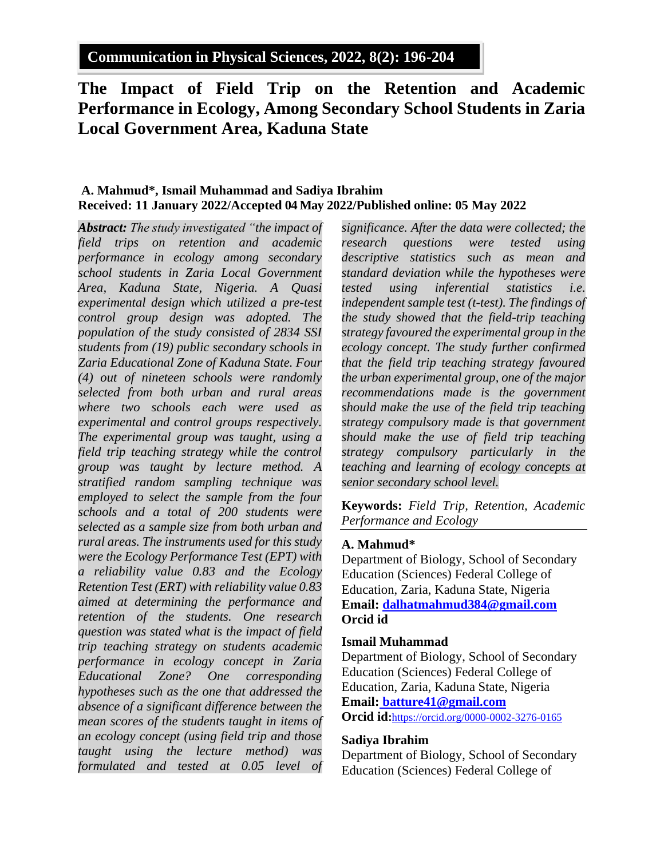**Communication in Physical Sciences, 2022, 8(2): 196-204**

# **The Impact of Field Trip on the Retention and Academic Performance in Ecology, Among Secondary School Students in Zaria Local Government Area, Kaduna State**

# **A. Mahmud\*, Ismail Muhammad and Sadiya Ibrahim Received: 11 January 2022/Accepted 04 May 2022/Published online: 05 May 2022**

*Abstract: The study investigated "the impact of field trips on retention and academic performance in ecology among secondary school students in Zaria Local Government Area, Kaduna State, Nigeria. A Quasi experimental design which utilized a pre-test control group design was adopted. The population of the study consisted of 2834 SSI students from (19) public secondary schools in Zaria Educational Zone of Kaduna State. Four (4) out of nineteen schools were randomly selected from both urban and rural areas where two schools each were used as experimental and control groups respectively. The experimental group was taught, using a field trip teaching strategy while the control group was taught by lecture method. A stratified random sampling technique was employed to select the sample from the four schools and a total of 200 students were selected as a sample size from both urban and rural areas. The instruments used for this study were the Ecology Performance Test (EPT) with a reliability value 0.83 and the Ecology Retention Test (ERT) with reliability value 0.83 aimed at determining the performance and retention of the students. One research question was stated what is the impact of field trip teaching strategy on students academic performance in ecology concept in Zaria Educational Zone? One corresponding hypotheses such as the one that addressed the absence of a significant difference between the mean scores of the students taught in items of an ecology concept (using field trip and those taught using the lecture method) was formulated and tested at 0.05 level of* 

*significance. After the data were collected; the research questions were tested using descriptive statistics such as mean and standard deviation while the hypotheses were tested using inferential statistics i.e. independent sample test (t-test). The findings of the study showed that the field-trip teaching strategy favoured the experimental group in the ecology concept. The study further confirmed that the field trip teaching strategy favoured the urban experimental group, one of the major recommendations made is the government should make the use of the field trip teaching strategy compulsory made is that government should make the use of field trip teaching strategy compulsory particularly in the teaching and learning of ecology concepts at senior secondary school level.* 

**Keywords:** *Field Trip, Retention, Academic Performance and Ecology*

## **A. Mahmud\***

Department of Biology, School of Secondary Education (Sciences) Federal College of Education, Zaria, Kaduna State, Nigeria **Email: [dalhatmahmud384@gmail.com](mailto:dalhatmahmud384@gmail.com) Orcid id**

#### **Ismail Muhammad**

Department of Biology, School of Secondary Education (Sciences) Federal College of Education, Zaria, Kaduna State, Nigeria **Email: [batture41@gmail.com](mailto:batture41@gmail.com) Orcid id:**<https://orcid.org/0000-0002-3276-0165>

#### **Sadiya Ibrahim**

Department of Biology, School of Secondary Education (Sciences) Federal College of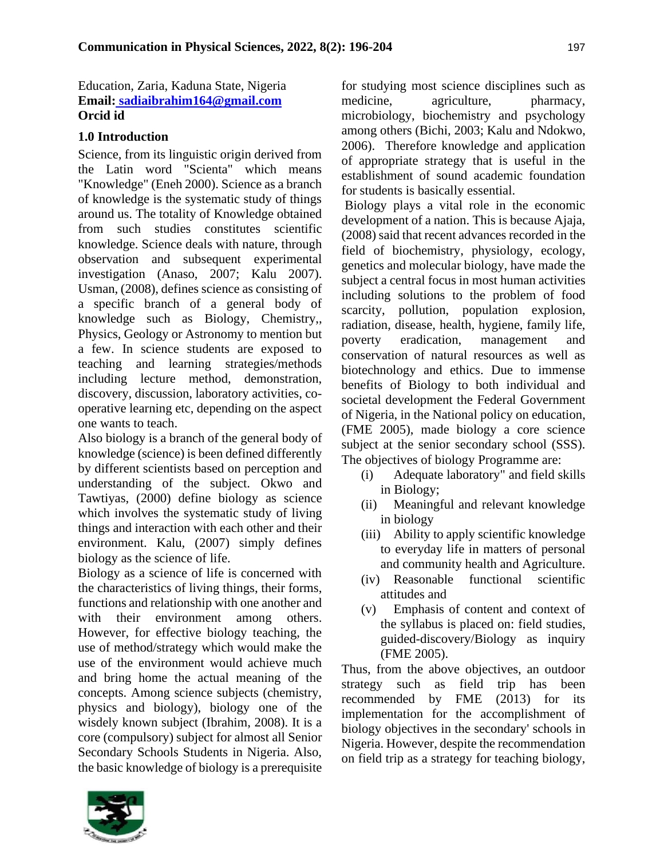Education, Zaria, Kaduna State, Nigeria **Email: [sadiaibrahim164@gmail.com](mailto:sadiaibrahim164@gmail.com) Orcid id**

# **1.0 Introduction**

Science, from its linguistic origin derived from the Latin word "Scienta" which means "Knowledge" (Eneh 2000). Science as a branch of knowledge is the systematic study of things around us. The totality of Knowledge obtained from such studies constitutes scientific knowledge. Science deals with nature, through observation and subsequent experimental investigation (Anaso, 2007; Kalu 2007). Usman, (2008), defines science as consisting of a specific branch of a general body of knowledge such as Biology, Chemistry,, Physics, Geology or Astronomy to mention but a few. In science students are exposed to teaching and learning strategies/methods including lecture method, demonstration, discovery, discussion, laboratory activities, cooperative learning etc, depending on the aspect one wants to teach.

Also biology is a branch of the general body of knowledge (science) is been defined differently by different scientists based on perception and understanding of the subject. Okwo and Tawtiyas, (2000) define biology as science which involves the systematic study of living things and interaction with each other and their environment. Kalu, (2007) simply defines biology as the science of life.

Biology as a science of life is concerned with the characteristics of living things, their forms, functions and relationship with one another and with their environment among others. However, for effective biology teaching, the use of method/strategy which would make the use of the environment would achieve much and bring home the actual meaning of the concepts. Among science subjects (chemistry, physics and biology), biology one of the wisdely known subject (Ibrahim, 2008). It is a core (compulsory) subject for almost all Senior Secondary Schools Students in Nigeria. Also, the basic knowledge of biology is a prerequisite

for studying most science disciplines such as medicine, agriculture, pharmacy, microbiology, biochemistry and psychology among others (Bichi, 2003; Kalu and Ndokwo, 2006). Therefore knowledge and application of appropriate strategy that is useful in the establishment of sound academic foundation for students is basically essential.

Biology plays a vital role in the economic development of a nation. This is because Ajaja, (2008) said that recent advances recorded in the field of biochemistry, physiology, ecology, genetics and molecular biology, have made the subject a central focus in most human activities including solutions to the problem of food scarcity, pollution, population explosion, radiation, disease, health, hygiene, family life, poverty eradication, management and conservation of natural resources as well as biotechnology and ethics. Due to immense benefits of Biology to both individual and societal development the Federal Government of Nigeria, in the National policy on education, (FME 2005), made biology a core science subject at the senior secondary school (SSS). The objectives of biology Programme are:

- (i) Adequate laboratory" and field skills in Biology;
- (ii) Meaningful and relevant knowledge in biology
- (iii) Ability to apply scientific knowledge to everyday life in matters of personal and community health and Agriculture.
- (iv) Reasonable functional scientific attitudes and
- (v) Emphasis of content and context of the syllabus is placed on: field studies, guided-discovery/Biology as inquiry (FME 2005).

Thus, from the above objectives, an outdoor strategy such as field trip has been recommended by FME (2013) for its implementation for the accomplishment of biology objectives in the secondary' schools in Nigeria. However, despite the recommendation on field trip as a strategy for teaching biology,

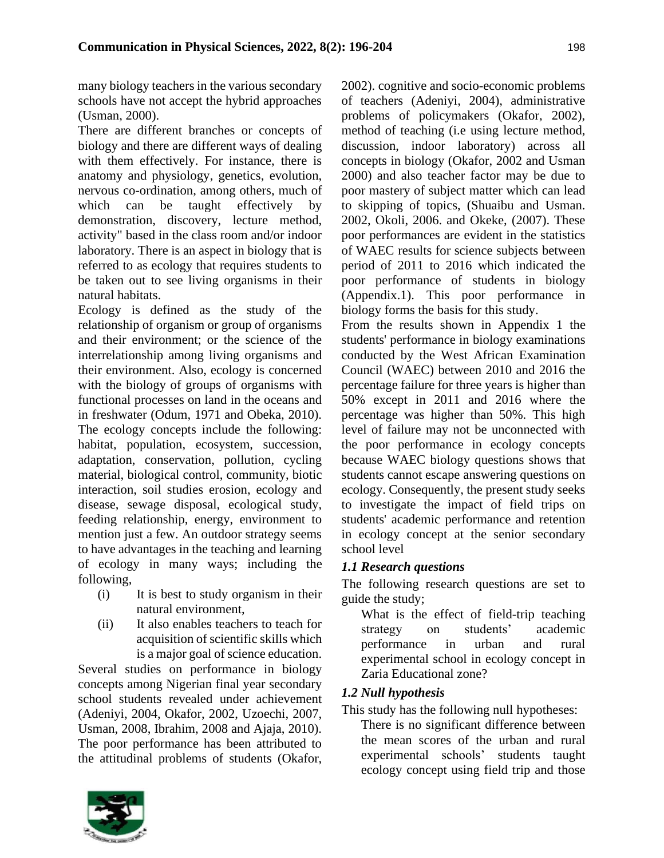many biology teachers in the various secondary schools have not accept the hybrid approaches (Usman, 2000).

There are different branches or concepts of biology and there are different ways of dealing with them effectively. For instance, there is anatomy and physiology, genetics, evolution, nervous co-ordination, among others, much of which can be taught effectively by demonstration, discovery, lecture method, activity" based in the class room and/or indoor laboratory. There is an aspect in biology that is referred to as ecology that requires students to be taken out to see living organisms in their natural habitats.

Ecology is defined as the study of the relationship of organism or group of organisms and their environment; or the science of the interrelationship among living organisms and their environment. Also, ecology is concerned with the biology of groups of organisms with functional processes on land in the oceans and in freshwater (Odum, 1971 and Obeka, 2010). The ecology concepts include the following: habitat, population, ecosystem, succession, adaptation, conservation, pollution, cycling material, biological control, community, biotic interaction, soil studies erosion, ecology and disease, sewage disposal, ecological study, feeding relationship, energy, environment to mention just a few. An outdoor strategy seems to have advantages in the teaching and learning of ecology in many ways; including the following,

- (i) It is best to study organism in their natural environment,
- (ii) It also enables teachers to teach for acquisition of scientific skills which is a major goal of science education.

Several studies on performance in biology concepts among Nigerian final year secondary school students revealed under achievement (Adeniyi, 2004, Okafor, 2002, Uzoechi, 2007, Usman, 2008, Ibrahim, 2008 and Ajaja, 2010). The poor performance has been attributed to the attitudinal problems of students (Okafor,

2002). cognitive and socio-economic problems of teachers (Adeniyi, 2004), administrative problems of policymakers (Okafor, 2002), method of teaching (i.e using lecture method, discussion, indoor laboratory) across all concepts in biology (Okafor, 2002 and Usman 2000) and also teacher factor may be due to poor mastery of subject matter which can lead to skipping of topics, (Shuaibu and Usman. 2002, Okoli, 2006. and Okeke, (2007). These poor performances are evident in the statistics of WAEC results for science subjects between period of 2011 to 2016 which indicated the poor performance of students in biology (Appendix.1). This poor performance in biology forms the basis for this study.

From the results shown in Appendix 1 the students' performance in biology examinations conducted by the West African Examination Council (WAEC) between 2010 and 2016 the percentage failure for three years is higher than 50% except in 2011 and 2016 where the percentage was higher than 50%. This high level of failure may not be unconnected with the poor performance in ecology concepts because WAEC biology questions shows that students cannot escape answering questions on ecology. Consequently, the present study seeks to investigate the impact of field trips on students' academic performance and retention in ecology concept at the senior secondary school level

# *1.1 Research questions*

The following research questions are set to guide the study;

What is the effect of field-trip teaching strategy on students' academic performance in urban and rural experimental school in ecology concept in Zaria Educational zone?

# *1.2 Null hypothesis*

This study has the following null hypotheses:

There is no significant difference between the mean scores of the urban and rural experimental schools' students taught ecology concept using field trip and those

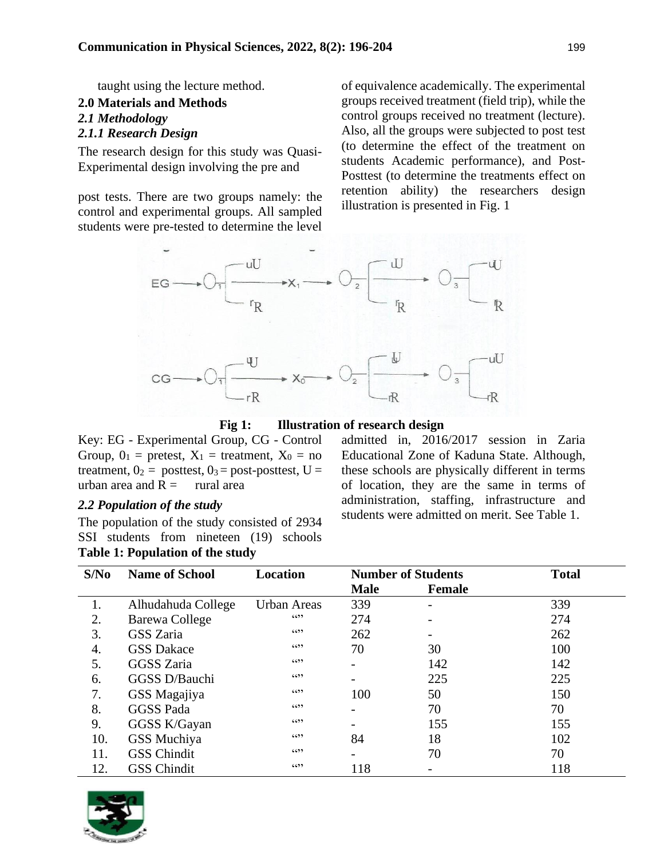taught using the lecture method.

# **2.0 Materials and Methods** *2.1 Methodology*

# *2.1.1 Research Design*

The research design for this study was Quasi-Experimental design involving the pre and

post tests. There are two groups namely: the control and experimental groups. All sampled students were pre-tested to determine the level

of equivalence academically. The experimental groups received treatment (field trip), while the control groups received no treatment (lecture). Also, all the groups were subjected to post test (to determine the effect of the treatment on students Academic performance), and Post-Posttest (to determine the treatments effect on retention ability) the researchers design illustration is presented in Fig. 1



**Fig 1: Illustration of research design** 

Key: EG - Experimental Group, CG - Control Group,  $0_1$  = pretest,  $X_1$  = treatment,  $X_0$  = no treatment,  $0_2$  = posttest,  $0_3$  = post-posttest, U = urban area and  $R =$  rural area

## *2.2 Population of the study*

The population of the study consisted of 2934 SSI students from nineteen (19) schools **Table 1: Population of the study**

admitted in, 2016/2017 session in Zaria Educational Zone of Kaduna State. Although, these schools are physically different in terms of location, they are the same in terms of administration, staffing, infrastructure and students were admitted on merit. See Table 1.

| S/No | <b>Name of School</b> | <b>Location</b>    | <b>Number of Students</b> |               | <b>Total</b> |
|------|-----------------------|--------------------|---------------------------|---------------|--------------|
|      |                       |                    | <b>Male</b>               | <b>Female</b> |              |
|      | Alhudahuda College    | <b>Urban Areas</b> | 339                       |               | 339          |
| 2.   | Barewa College        | 6599               | 274                       |               | 274          |
| 3.   | GSS Zaria             | 6599               | 262                       |               | 262          |
| 4.   | <b>GSS Dakace</b>     | 6599               | 70                        | 30            | 100          |
| 5.   | <b>GGSS</b> Zaria     | 6599               |                           | 142           | 142          |
| 6.   | GGSS D/Bauchi         | 6599               |                           | 225           | 225          |
| 7.   | GSS Magajiya          | 6599               | 100                       | 50            | 150          |
| 8.   | <b>GGSS Pada</b>      | 6599               |                           | 70            | 70           |
| 9.   | GGSS K/Gayan          | 6599               |                           | 155           | 155          |
| 10.  | GSS Muchiya           | 6599               | 84                        | 18            | 102          |
| 11.  | <b>GSS Chindit</b>    | 6699               |                           | 70            | 70           |
| 12.  | <b>GSS Chindit</b>    | 6599               | 118                       |               | 118          |

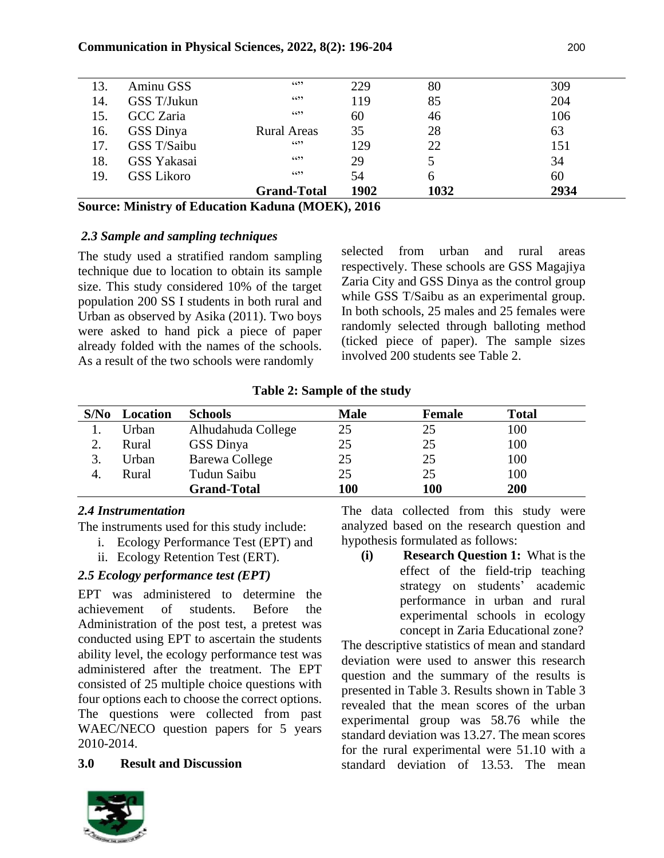| 13. | Aminu GSS         | 6599               | 229  | 80   | 309  |
|-----|-------------------|--------------------|------|------|------|
| 14. | GSS T/Jukun       | 6599               | 119  | 85   | 204  |
| 15. | GCC Zaria         | 6599               | 60   | 46   | 106  |
| 16. | GSS Dinya         | <b>Rural Areas</b> | 35   | 28   | 63   |
| 17. | GSS T/Saibu       | 6599               | 129  | 22   | 151  |
| 18. | GSS Yakasai       | 6599               | 29   | 5    | 34   |
| 19. | <b>GSS Likoro</b> | 6599               | 54   | 6    | 60   |
|     |                   | <b>Grand-Total</b> | 1902 | 1032 | 2934 |

**Source: Ministry of Education Kaduna (MOEK), 2016**

## *2.3 Sample and sampling techniques*

The study used a stratified random sampling technique due to location to obtain its sample size. This study considered 10% of the target population 200 SS I students in both rural and Urban as observed by Asika (2011). Two boys were asked to hand pick a piece of paper already folded with the names of the schools. As a result of the two schools were randomly

selected from urban and rural areas respectively. These schools are GSS Magajiya Zaria City and GSS Dinya as the control group while GSS T/Saibu as an experimental group. In both schools, 25 males and 25 females were randomly selected through balloting method (ticked piece of paper). The sample sizes involved 200 students see Table 2.

| S/No | Location | <b>Schools</b>     | <b>Male</b> | Female | <b>Total</b> |
|------|----------|--------------------|-------------|--------|--------------|
|      | Urban    | Alhudahuda College | 25          | 25     | 100          |
|      | Rural    | GSS Dinya          | 25          | 25     | 100          |
|      | Urban    | Barewa College     | 25          | 25     | 100          |
|      | Rural    | Tudun Saibu        | 25          | 25     | 100          |
|      |          | <b>Grand-Total</b> | 100         | 100    | 200          |

**Table 2: Sample of the study**

# *2.4 Instrumentation*

The instruments used for this study include:

- i. Ecology Performance Test (EPT) and
- ii. Ecology Retention Test (ERT).

# *2.5 Ecology performance test (EPT)*

EPT was administered to determine the achievement of students. Before the Administration of the post test, a pretest was conducted using EPT to ascertain the students ability level, the ecology performance test was administered after the treatment. The EPT consisted of 25 multiple choice questions with four options each to choose the correct options. The questions were collected from past WAEC/NECO question papers for 5 years 2010-2014.

# **3.0 Result and Discussion**



The data collected from this study were analyzed based on the research question and hypothesis formulated as follows:

**(i) Research Question 1:** What is the effect of the field-trip teaching strategy on students' academic performance in urban and rural experimental schools in ecology concept in Zaria Educational zone?

The descriptive statistics of mean and standard deviation were used to answer this research question and the summary of the results is presented in Table 3. Results shown in Table 3 revealed that the mean scores of the urban experimental group was 58.76 while the standard deviation was 13.27. The mean scores for the rural experimental were 51.10 with a standard deviation of 13.53. The mean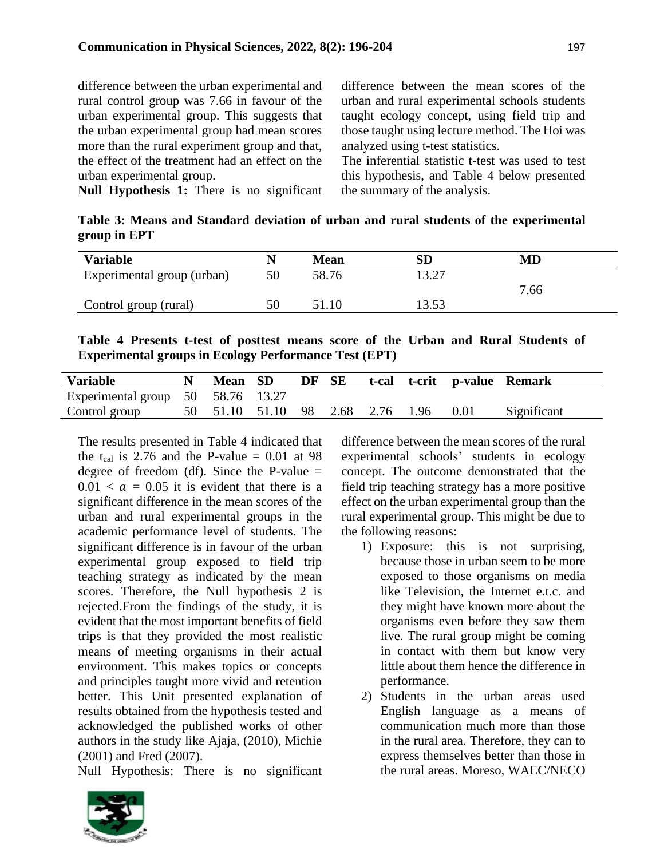difference between the urban experimental and rural control group was 7.66 in favour of the urban experimental group. This suggests that the urban experimental group had mean scores more than the rural experiment group and that, the effect of the treatment had an effect on the urban experimental group.

difference between the mean scores of the urban and rural experimental schools students taught ecology concept, using field trip and those taught using lecture method. The Hoi was analyzed using t-test statistics.

The inferential statistic t-test was used to test this hypothesis, and Table 4 below presented the summary of the analysis.

**Null Hypothesis 1:** There is no significant

**Table 3: Means and Standard deviation of urban and rural students of the experimental group in EPT**

| <b>Variable</b>            |    | <b>Mean</b> | <b>SD</b>      | $\mathbf{M}\mathbf{D}$ |
|----------------------------|----|-------------|----------------|------------------------|
| Experimental group (urban) | 50 | 58.76       | 13.27          |                        |
|                            |    |             |                | 7.66                   |
| Control group (rural)      |    | 51.10       | 13.53<br>LJ.JJ |                        |

**Table 4 Presents t-test of posttest means score of the Urban and Rural Students of Experimental groups in Ecology Performance Test (EPT)**

| <b>Variable</b>                   |      | Mean SD        | DF | SE |                | t-cal t-crit p-value Remark |             |
|-----------------------------------|------|----------------|----|----|----------------|-----------------------------|-------------|
| Experimental group 50 58.76 13.27 |      |                |    |    |                |                             |             |
| Control group                     | - 50 | 51.10 51.10 98 |    |    | 2.68 2.76 1.96 | 0.01                        | Significant |

The results presented in Table 4 indicated that the t<sub>cal</sub> is 2.76 and the P-value  $= 0.01$  at 98 degree of freedom (df). Since the P-value  $=$  $0.01 < a = 0.05$  it is evident that there is a significant difference in the mean scores of the urban and rural experimental groups in the academic performance level of students. The significant difference is in favour of the urban experimental group exposed to field trip teaching strategy as indicated by the mean scores. Therefore, the Null hypothesis 2 is rejected.From the findings of the study, it is evident that the most important benefits of field trips is that they provided the most realistic means of meeting organisms in their actual environment. This makes topics or concepts and principles taught more vivid and retention better. This Unit presented explanation of results obtained from the hypothesis tested and acknowledged the published works of other authors in the study like Ajaja, (2010), Michie (2001) and Fred (2007).

Null Hypothesis: There is no significant

difference between the mean scores of the rural experimental schools' students in ecology concept. The outcome demonstrated that the field trip teaching strategy has a more positive effect on the urban experimental group than the rural experimental group. This might be due to the following reasons:

- 1) Exposure: this is not surprising, because those in urban seem to be more exposed to those organisms on media like Television, the Internet e.t.c. and they might have known more about the organisms even before they saw them live. The rural group might be coming in contact with them but know very little about them hence the difference in performance.
- 2) Students in the urban areas used English language as a means of communication much more than those in the rural area. Therefore, they can to express themselves better than those in the rural areas. Moreso, WAEC/NECO

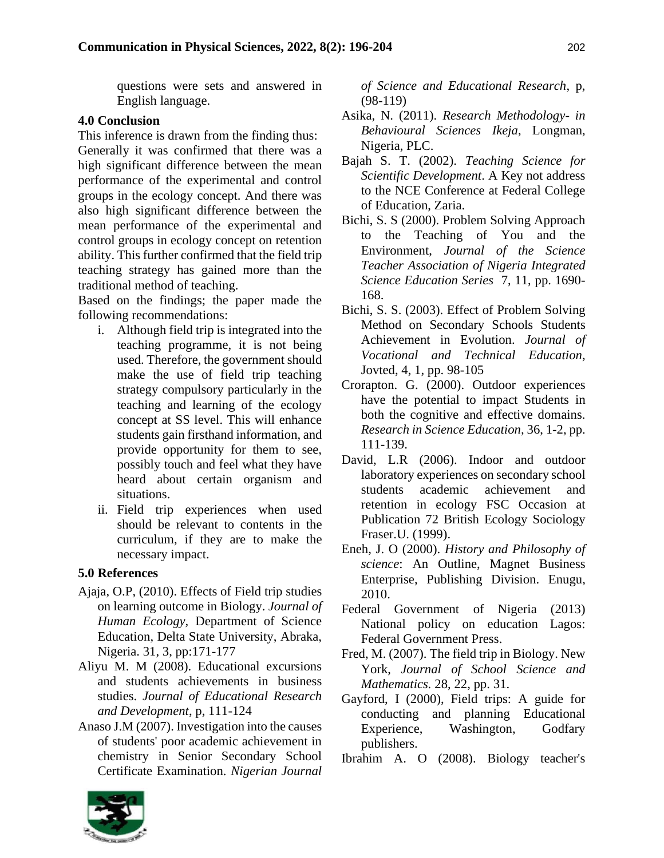questions were sets and answered in English language.

#### **4.0 Conclusion**

This inference is drawn from the finding thus: Generally it was confirmed that there was a high significant difference between the mean performance of the experimental and control groups in the ecology concept. And there was also high significant difference between the mean performance of the experimental and control groups in ecology concept on retention ability. This further confirmed that the field trip teaching strategy has gained more than the traditional method of teaching.

Based on the findings; the paper made the following recommendations:

- i. Although field trip is integrated into the teaching programme, it is not being used. Therefore, the government should make the use of field trip teaching strategy compulsory particularly in the teaching and learning of the ecology concept at SS level. This will enhance students gain firsthand information, and provide opportunity for them to see, possibly touch and feel what they have heard about certain organism and situations.
- ii. Field trip experiences when used should be relevant to contents in the curriculum, if they are to make the necessary impact.

### **5.0 References**

- Ajaja, O.P, (2010). Effects of Field trip studies on learning outcome in Biology. *Journal of Human Ecology*, Department of Science Education, Delta State University, Abraka, Nigeria. 31, 3, pp:171-177
- Aliyu M. M (2008). Educational excursions and students achievements in business studies. *Journal of Educational Research and Development*, p, 111-124
- Anaso J.M (2007). Investigation into the causes of students' poor academic achievement in chemistry in Senior Secondary School Certificate Examination. *Nigerian Journal*

*of Science and Educational Research*, p, (98-119)

- Asika, N. (2011). *Research Methodology- in Behavioural Sciences Ikeja*, Longman, Nigeria, PLC.
- Bajah S. T. (2002). *Teaching Science for Scientific Development*. A Key not address to the NCE Conference at Federal College of Education, Zaria.
- Bichi, S. S (2000). Problem Solving Approach to the Teaching of You and the Environment, *Journal of the Science Teacher Association of Nigeria Integrated Science Education Series* 7, 11, pp. 1690- 168.
- Bichi, S. S. (2003). Effect of Problem Solving Method on Secondary Schools Students Achievement in Evolution. *Journal of Vocational and Technical Education*, Jovted, 4, 1, pp. 98-105
- Crorapton. G. (2000). Outdoor experiences have the potential to impact Students in both the cognitive and effective domains. *Research in Science Education,* 36, 1-2, pp. 111-139.
- David, L.R (2006). Indoor and outdoor laboratory experiences on secondary school students academic achievement and retention in ecology FSC Occasion at Publication 72 British Ecology Sociology Fraser.U. (1999).
- Eneh, J. O (2000). *History and Philosophy of science*: An Outline, Magnet Business Enterprise, Publishing Division. Enugu, 2010.
- Federal Government of Nigeria (2013) National policy on education Lagos: Federal Government Press.
- Fred, M. (2007). The field trip in Biology. New York, *Journal of School Science and Mathematics.* 28, 22, pp. 31.
- Gayford, I (2000), Field trips: A guide for conducting and planning Educational Experience, Washington, Godfary publishers.
- Ibrahim A. O (2008). Biology teacher's

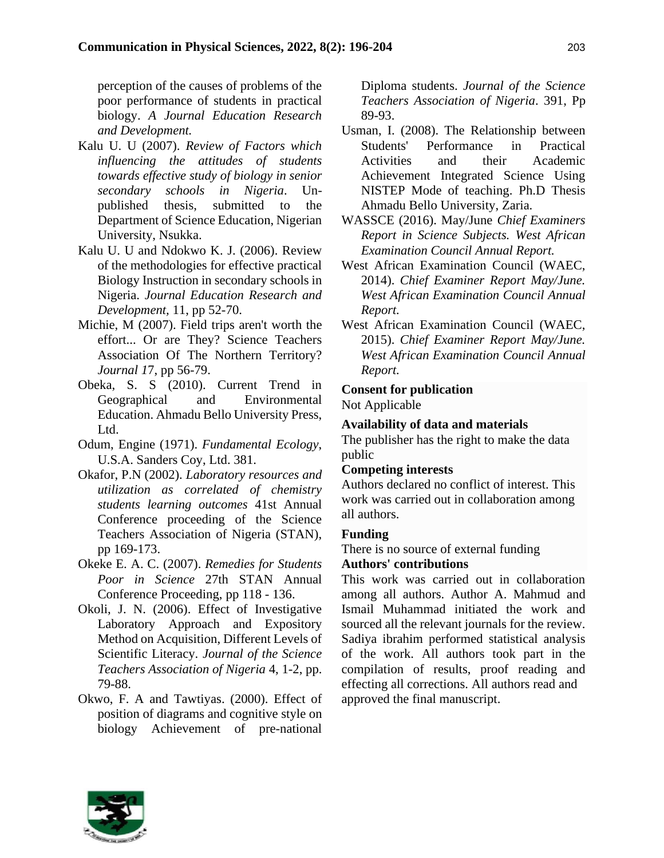perception of the causes of problems of the poor performance of students in practical biology. *A Journal Education Research and Development.*

- Kalu U. U (2007). *Review of Factors which influencing the attitudes of students towards effective study of biology in senior secondary schools in Nigeria*. Unpublished thesis, submitted to the Department of Science Education, Nigerian University, Nsukka.
- Kalu U. U and Ndokwo K. J. (2006). Review of the methodologies for effective practical Biology Instruction in secondary schools in Nigeria. *Journal Education Research and Development,* 11, pp 52-70.
- Michie, M (2007). Field trips aren't worth the effort... Or are They? Science Teachers Association Of The Northern Territory? *Journal 1*7, pp 56-79.
- Obeka, S. S (2010). Current Trend in Geographical and Environmental Education. Ahmadu Bello University Press, Ltd.
- Odum, Engine (1971). *Fundamental Ecology*, U.S.A. Sanders Coy, Ltd. 381.
- Okafor, P.N (2002). *Laboratory resources and utilization as correlated of chemistry students learning outcomes* 41st Annual Conference proceeding of the Science Teachers Association of Nigeria (STAN), pp 169-173.
- Okeke E. A. C. (2007). *Remedies for Students Poor in Science* 27th STAN Annual Conference Proceeding, pp 118 - 136.
- Okoli, J. N. (2006). Effect of Investigative Laboratory Approach and Expository Method on Acquisition, Different Levels of Scientific Literacy. *Journal of the Science Teachers Association of Nigeria* 4, 1-2, pp. 79-88.
- Okwo, F. A and Tawtiyas. (2000). Effect of position of diagrams and cognitive style on biology Achievement of pre-national

Diploma students. *Journal of the Science Teachers Association of Nigeria*. 391, Pp 89-93.

- Usman, I. (2008). The Relationship between Students' Performance in Practical Activities and their Academic Achievement Integrated Science Using NISTEP Mode of teaching. Ph.D Thesis Ahmadu Bello University, Zaria.
- WASSCE (2016). May/June *Chief Examiners Report in Science Subjects. West African Examination Council Annual Report.*
- West African Examination Council (WAEC, 2014). *Chief Examiner Report May/June. West African Examination Council Annual Report.*
- West African Examination Council (WAEC, 2015). *Chief Examiner Report May/June. West African Examination Council Annual Report.*

## **Consent for publication**

Not Applicable

# **Availability of data and materials**

The publisher has the right to make the data public

### **Competing interests**

Authors declared no conflict of interest. This work was carried out in collaboration among all authors.

# **Funding**

There is no source of external funding

# **Authors' contributions**

This work was carried out in collaboration among all authors. Author A. Mahmud and Ismail Muhammad initiated the work and sourced all the relevant journals for the review. Sadiya ibrahim performed statistical analysis of the work. All authors took part in the compilation of results, proof reading and effecting all corrections. All authors read and approved the final manuscript.